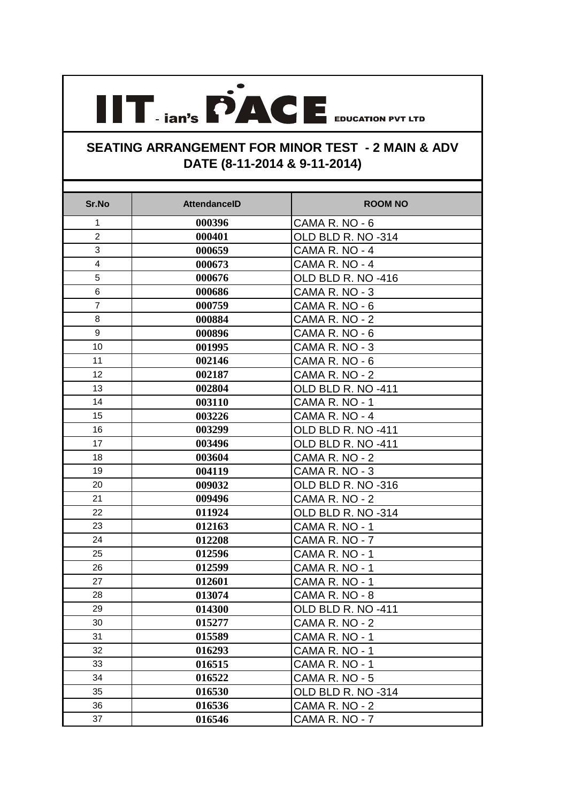

## **SEATING ARRANGEMENT FOR MINOR TEST - 2 MAIN & ADV DATE (8-11-2014 & 9-11-2014)**

| Sr.No                   | <b>AttendanceID</b> | <b>ROOM NO</b>     |
|-------------------------|---------------------|--------------------|
| 1                       | 000396              | CAMA R. NO - 6     |
| $\overline{2}$          | 000401              | OLD BLD R. NO -314 |
| 3                       | 000659              | CAMA R. NO - 4     |
| $\overline{\mathbf{4}}$ | 000673              | CAMA R. NO - 4     |
| 5                       | 000676              | OLD BLD R. NO -416 |
| 6                       | 000686              | CAMA R. NO - 3     |
| $\overline{7}$          | 000759              | CAMA R. NO - 6     |
| 8                       | 000884              | CAMA R. NO - 2     |
| 9                       | 000896              | CAMA R. NO - 6     |
| 10                      | 001995              | CAMA R. NO - 3     |
| 11                      | 002146              | CAMA R. NO - 6     |
| 12                      | 002187              | CAMA R. NO - 2     |
| 13                      | 002804              | OLD BLD R. NO -411 |
| 14                      | 003110              | CAMA R. NO - 1     |
| 15                      | 003226              | CAMA R. NO - 4     |
| 16                      | 003299              | OLD BLD R. NO -411 |
| 17                      | 003496              | OLD BLD R. NO -411 |
| 18                      | 003604              | CAMA R. NO - 2     |
| 19                      | 004119              | CAMA R. NO - 3     |
| 20                      | 009032              | OLD BLD R. NO -316 |
| 21                      | 009496              | CAMA R. NO - 2     |
| 22                      | 011924              | OLD BLD R. NO -314 |
| 23                      | 012163              | CAMA R. NO - 1     |
| 24                      | 012208              | CAMA R. NO - 7     |
| 25                      | 012596              | CAMA R. NO - 1     |
| 26                      | 012599              | CAMA R. NO - 1     |
| 27                      | 012601              | CAMA R. NO - 1     |
| 28                      | 013074              | CAMA R. NO - 8     |
| 29                      | 014300              | OLD BLD R. NO -411 |
| 30                      | 015277              | CAMA R. NO - 2     |
| 31                      | 015589              | CAMA R. NO - 1     |
| 32                      | 016293              | CAMA R. NO - 1     |
| 33                      | 016515              | CAMA R. NO - 1     |
| 34                      | 016522              | CAMA R. NO - 5     |
| 35                      | 016530              | OLD BLD R. NO -314 |
| 36                      | 016536              | CAMA R. NO - 2     |
| 37                      | 016546              | CAMA R. NO - 7     |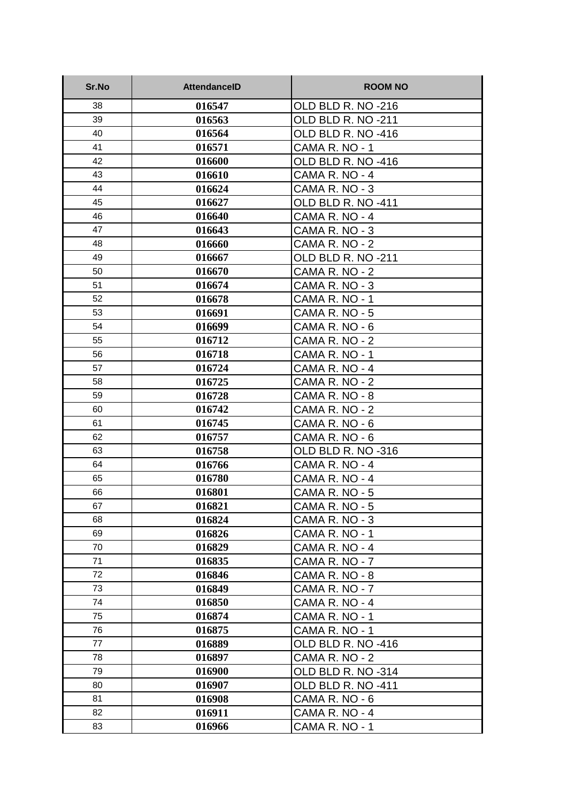| Sr.No | <b>AttendanceID</b> | <b>ROOM NO</b>     |
|-------|---------------------|--------------------|
| 38    | 016547              | OLD BLD R. NO -216 |
| 39    | 016563              | OLD BLD R. NO -211 |
| 40    | 016564              | OLD BLD R. NO -416 |
| 41    | 016571              | CAMA R. NO - 1     |
| 42    | 016600              | OLD BLD R. NO -416 |
| 43    | 016610              | CAMA R. NO - 4     |
| 44    | 016624              | CAMA R. NO - 3     |
| 45    | 016627              | OLD BLD R. NO -411 |
| 46    | 016640              | CAMA R. NO - 4     |
| 47    | 016643              | CAMA R. NO - 3     |
| 48    | 016660              | CAMA R. NO - 2     |
| 49    | 016667              | OLD BLD R. NO -211 |
| 50    | 016670              | CAMA R. NO - 2     |
| 51    | 016674              | CAMA R. NO - 3     |
| 52    | 016678              | CAMA R. NO - 1     |
| 53    | 016691              | CAMA R. NO - 5     |
| 54    | 016699              | CAMA R. NO - 6     |
| 55    | 016712              | CAMA R. NO - 2     |
| 56    | 016718              | CAMA R. NO - 1     |
| 57    | 016724              | CAMA R. NO - 4     |
| 58    | 016725              | CAMA R. NO - 2     |
| 59    | 016728              | CAMA R. NO - 8     |
| 60    | 016742              | CAMA R. NO - 2     |
| 61    | 016745              | CAMA R. NO - 6     |
| 62    | 016757              | CAMA R. NO - 6     |
| 63    | 016758              | OLD BLD R. NO -316 |
| 64    | 016766              | CAMA R. NO - 4     |
| 65    | 016780              | CAMA R. NO - 4     |
| 66    | 016801              | CAMA R. NO - 5     |
| 67    | 016821              | CAMA R. NO - 5     |
| 68    | 016824              | CAMA R. NO - 3     |
| 69    | 016826              | CAMA R. NO - 1     |
| 70    | 016829              | CAMA R. NO - 4     |
| 71    | 016835              | CAMA R. NO - 7     |
| 72    | 016846              | CAMA R. NO - 8     |
| 73    | 016849              | CAMA R. NO - 7     |
| 74    | 016850              | CAMA R. NO - 4     |
| 75    | 016874              | CAMA R. NO - 1     |
| 76    | 016875              | CAMA R. NO - 1     |
| 77    | 016889              | OLD BLD R. NO -416 |
| 78    | 016897              | CAMA R. NO - 2     |
| 79    | 016900              | OLD BLD R. NO -314 |
| 80    | 016907              | OLD BLD R. NO -411 |
| 81    | 016908              | CAMA R. NO - 6     |
| 82    | 016911              | CAMA R. NO - 4     |
| 83    | 016966              | CAMA R. NO - 1     |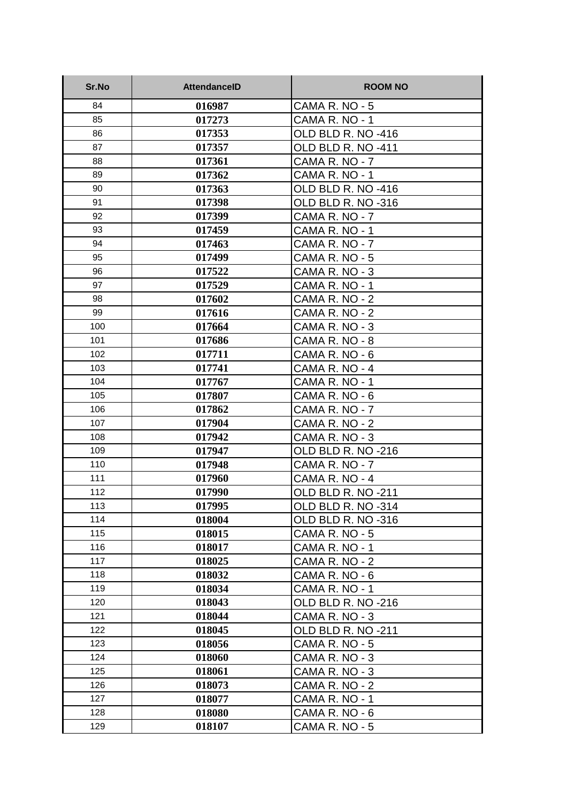| Sr.No | <b>AttendanceID</b> | <b>ROOM NO</b>     |
|-------|---------------------|--------------------|
| 84    | 016987              | CAMA R. NO - 5     |
| 85    | 017273              | CAMA R. NO - 1     |
| 86    | 017353              | OLD BLD R. NO -416 |
| 87    | 017357              | OLD BLD R. NO -411 |
| 88    | 017361              | CAMA R. NO - 7     |
| 89    | 017362              | CAMA R. NO - 1     |
| 90    | 017363              | OLD BLD R. NO -416 |
| 91    | 017398              | OLD BLD R. NO -316 |
| 92    | 017399              | CAMA R. NO - 7     |
| 93    | 017459              | CAMA R. NO - 1     |
| 94    | 017463              | CAMA R. NO - 7     |
| 95    | 017499              | CAMA R. NO - 5     |
| 96    | 017522              | CAMA R. NO - 3     |
| 97    | 017529              | CAMA R. NO - 1     |
| 98    | 017602              | CAMA R. NO - 2     |
| 99    | 017616              | CAMA R. NO - 2     |
| 100   | 017664              | CAMA R. NO - 3     |
| 101   | 017686              | CAMA R. NO - 8     |
| 102   | 017711              | CAMA R. NO - 6     |
| 103   | 017741              | CAMA R. NO - 4     |
| 104   | 017767              | CAMA R. NO - 1     |
| 105   | 017807              | CAMA R. NO - 6     |
| 106   | 017862              | CAMA R. NO - 7     |
| 107   | 017904              | CAMA R. NO - 2     |
| 108   | 017942              | CAMA R. NO - 3     |
| 109   | 017947              | OLD BLD R. NO -216 |
| 110   | 017948              | CAMA R. NO - 7     |
| 111   | 017960              | CAMA R. NO - 4     |
| 112   | 017990              | OLD BLD R. NO -211 |
| 113   | 017995              | OLD BLD R. NO -314 |
| 114   | 018004              | OLD BLD R. NO -316 |
| 115   | 018015              | CAMA R. NO - 5     |
| 116   | 018017              | CAMA R. NO - 1     |
| 117   | 018025              | CAMA R. NO - 2     |
| 118   | 018032              | CAMA R. NO - 6     |
| 119   | 018034              | CAMA R. NO - 1     |
| 120   | 018043              | OLD BLD R. NO -216 |
| 121   | 018044              | CAMA R. NO - 3     |
| 122   | 018045              | OLD BLD R. NO -211 |
| 123   | 018056              | CAMA R. NO - 5     |
| 124   | 018060              | CAMA R. NO - 3     |
| 125   | 018061              | CAMA R. NO - 3     |
| 126   | 018073              | CAMA R. NO - 2     |
| 127   | 018077              | CAMA R. NO - 1     |
| 128   | 018080              | CAMA R. NO - 6     |
| 129   | 018107              | CAMA R. NO - 5     |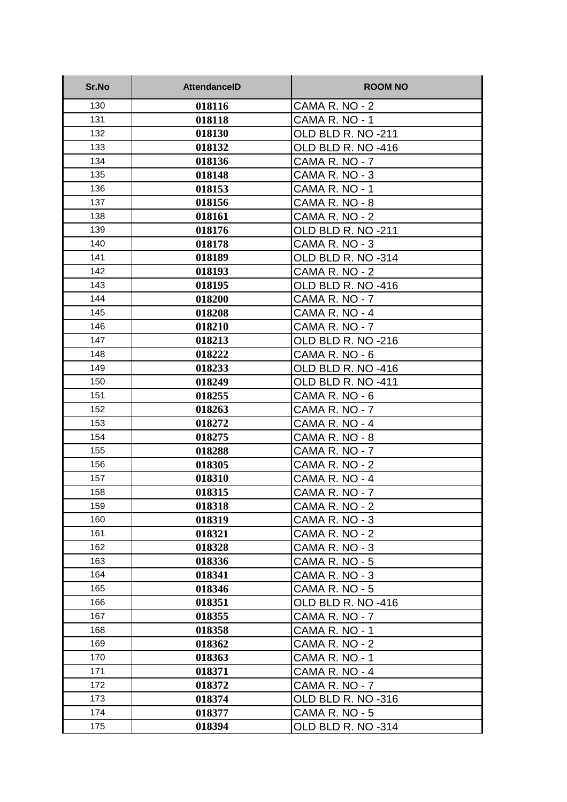| Sr.No | <b>AttendanceID</b> | <b>ROOM NO</b>     |
|-------|---------------------|--------------------|
| 130   | 018116              | CAMA R. NO - 2     |
| 131   | 018118              | CAMA R. NO - 1     |
| 132   | 018130              | OLD BLD R. NO -211 |
| 133   | 018132              | OLD BLD R. NO -416 |
| 134   | 018136              | CAMA R. NO - 7     |
| 135   | 018148              | CAMA R. NO - 3     |
| 136   | 018153              | CAMA R. NO - 1     |
| 137   | 018156              | CAMA R. NO - 8     |
| 138   | 018161              | CAMA R. NO - 2     |
| 139   | 018176              | OLD BLD R. NO -211 |
| 140   | 018178              | CAMA R. NO - 3     |
| 141   | 018189              | OLD BLD R. NO -314 |
| 142   | 018193              | CAMA R. NO - 2     |
| 143   | 018195              | OLD BLD R. NO -416 |
| 144   | 018200              | CAMA R. NO - 7     |
| 145   | 018208              | CAMA R. NO - 4     |
| 146   | 018210              | CAMA R. NO - 7     |
| 147   | 018213              | OLD BLD R. NO -216 |
| 148   | 018222              | CAMA R. NO - 6     |
| 149   | 018233              | OLD BLD R. NO -416 |
| 150   | 018249              | OLD BLD R. NO -411 |
| 151   | 018255              | CAMA R. NO - 6     |
| 152   | 018263              | CAMA R. NO - 7     |
| 153   | 018272              | CAMA R. NO - 4     |
| 154   | 018275              | CAMA R. NO - 8     |
| 155   | 018288              | CAMA R. NO - 7     |
| 156   | 018305              | CAMA R. NO - 2     |
| 157   | 018310              | CAMA R. NO - 4     |
| 158   | 018315              | CAMA R. NO - 7     |
| 159   | 018318              | CAMA R. NO - 2     |
| 160   | 018319              | CAMA R. NO - 3     |
| 161   | 018321              | CAMA R. NO - 2     |
| 162   | 018328              | CAMA R. NO - 3     |
| 163   | 018336              | CAMA R. NO - 5     |
| 164   | 018341              | CAMA R. NO - 3     |
| 165   | 018346              | CAMA R. NO - 5     |
| 166   | 018351              | OLD BLD R. NO -416 |
| 167   | 018355              | CAMA R. NO - 7     |
| 168   | 018358              | CAMA R. NO - 1     |
| 169   | 018362              | CAMA R. NO - 2     |
| 170   | 018363              | CAMA R. NO - 1     |
| 171   | 018371              | CAMA R. NO - 4     |
| 172   | 018372              | CAMA R. NO - 7     |
| 173   | 018374              | OLD BLD R. NO -316 |
| 174   | 018377              | CAMA R. NO - 5     |
| 175   | 018394              | OLD BLD R. NO -314 |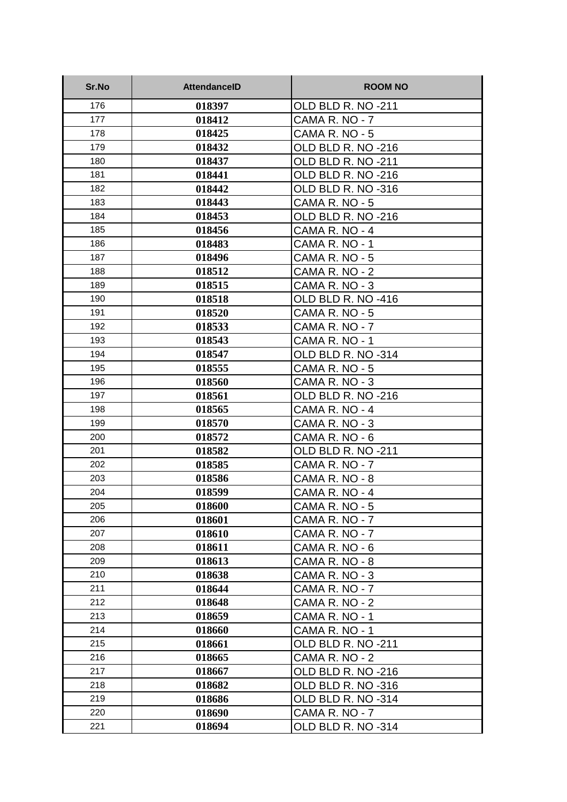| Sr.No | <b>AttendanceID</b> | <b>ROOM NO</b>     |
|-------|---------------------|--------------------|
| 176   | 018397              | OLD BLD R. NO -211 |
| 177   | 018412              | CAMA R. NO - 7     |
| 178   | 018425              | CAMA R. NO - 5     |
| 179   | 018432              | OLD BLD R. NO -216 |
| 180   | 018437              | OLD BLD R. NO -211 |
| 181   | 018441              | OLD BLD R. NO -216 |
| 182   | 018442              | OLD BLD R. NO -316 |
| 183   | 018443              | CAMA R. NO - 5     |
| 184   | 018453              | OLD BLD R. NO -216 |
| 185   | 018456              | CAMA R. NO - 4     |
| 186   | 018483              | CAMA R. NO - 1     |
| 187   | 018496              | CAMA R. NO - 5     |
| 188   | 018512              | CAMA R. NO - 2     |
| 189   | 018515              | CAMA R. NO - 3     |
| 190   | 018518              | OLD BLD R. NO -416 |
| 191   | 018520              | CAMA R. NO - 5     |
| 192   | 018533              | CAMA R. NO - 7     |
| 193   | 018543              | CAMA R. NO - 1     |
| 194   | 018547              | OLD BLD R. NO -314 |
| 195   | 018555              | CAMA R. NO - 5     |
| 196   | 018560              | CAMA R. NO - 3     |
| 197   | 018561              | OLD BLD R. NO -216 |
| 198   | 018565              | CAMA R. NO - 4     |
| 199   | 018570              | CAMA R. NO - 3     |
| 200   | 018572              | CAMA R. NO - 6     |
| 201   | 018582              | OLD BLD R. NO -211 |
| 202   | 018585              | CAMA R. NO - 7     |
| 203   | 018586              | CAMA R. NO - 8     |
| 204   | 018599              | CAMA R. NO - 4     |
| 205   | 018600              | CAMA R. NO - 5     |
| 206   | 018601              | CAMA R. NO - 7     |
| 207   | 018610              | CAMA R. NO - 7     |
| 208   | 018611              | CAMA R. NO - 6     |
| 209   | 018613              | CAMA R. NO - 8     |
| 210   | 018638              | CAMA R. NO - 3     |
| 211   | 018644              | CAMA R. NO - 7     |
| 212   | 018648              | CAMA R. NO - 2     |
| 213   | 018659              | CAMA R. NO - 1     |
| 214   | 018660              | CAMA R. NO - 1     |
| 215   | 018661              | OLD BLD R. NO -211 |
| 216   | 018665              | CAMA R. NO - 2     |
| 217   | 018667              | OLD BLD R. NO -216 |
| 218   | 018682              | OLD BLD R. NO -316 |
| 219   | 018686              | OLD BLD R. NO -314 |
| 220   | 018690              | CAMA R. NO - 7     |
| 221   | 018694              | OLD BLD R. NO -314 |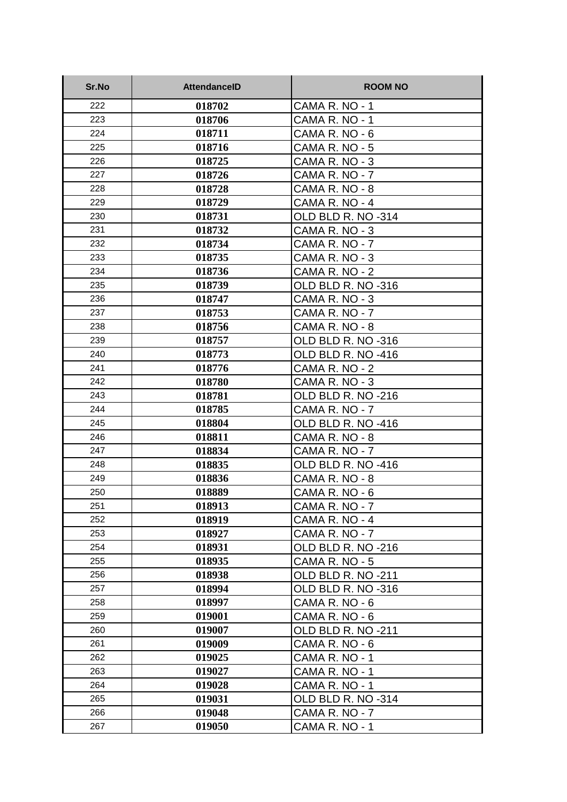| Sr.No | <b>AttendanceID</b> | <b>ROOM NO</b>     |
|-------|---------------------|--------------------|
| 222   | 018702              | CAMA R. NO - 1     |
| 223   | 018706              | CAMA R. NO - 1     |
| 224   | 018711              | CAMA R. NO - 6     |
| 225   | 018716              | CAMA R. NO - 5     |
| 226   | 018725              | CAMA R. NO - 3     |
| 227   | 018726              | CAMA R. NO - 7     |
| 228   | 018728              | CAMA R. NO - 8     |
| 229   | 018729              | CAMA R. NO - 4     |
| 230   | 018731              | OLD BLD R. NO -314 |
| 231   | 018732              | CAMA R. NO - 3     |
| 232   | 018734              | CAMA R. NO - 7     |
| 233   | 018735              | CAMA R. NO - 3     |
| 234   | 018736              | CAMA R. NO - 2     |
| 235   | 018739              | OLD BLD R. NO -316 |
| 236   | 018747              | CAMA R. NO - 3     |
| 237   | 018753              | CAMA R. NO - 7     |
| 238   | 018756              | CAMA R. NO - 8     |
| 239   | 018757              | OLD BLD R. NO -316 |
| 240   | 018773              | OLD BLD R. NO -416 |
| 241   | 018776              | CAMA R. NO - 2     |
| 242   | 018780              | CAMA R. NO - 3     |
| 243   | 018781              | OLD BLD R. NO -216 |
| 244   | 018785              | CAMA R. NO - 7     |
| 245   | 018804              | OLD BLD R. NO -416 |
| 246   | 018811              | CAMA R. NO - 8     |
| 247   | 018834              | CAMA R. NO - 7     |
| 248   | 018835              | OLD BLD R. NO -416 |
| 249   | 018836              | CAMA R. NO - 8     |
| 250   | 018889              | CAMA R. NO - 6     |
| 251   | 018913              | CAMA R. NO - 7     |
| 252   | 018919              | CAMA R. NO - 4     |
| 253   | 018927              | CAMA R. NO - 7     |
| 254   | 018931              | OLD BLD R. NO -216 |
| 255   | 018935              | CAMA R. NO - 5     |
| 256   | 018938              | OLD BLD R. NO -211 |
| 257   | 018994              | OLD BLD R. NO -316 |
| 258   | 018997              | CAMA R. NO - 6     |
| 259   | 019001              | CAMA R. NO - 6     |
| 260   | 019007              | OLD BLD R. NO -211 |
| 261   | 019009              | CAMA R. NO - 6     |
| 262   | 019025              | CAMA R. NO - 1     |
| 263   | 019027              | CAMA R. NO - 1     |
| 264   | 019028              | CAMA R. NO - 1     |
| 265   | 019031              | OLD BLD R. NO -314 |
| 266   | 019048              | CAMA R. NO - 7     |
| 267   | 019050              | CAMA R. NO - 1     |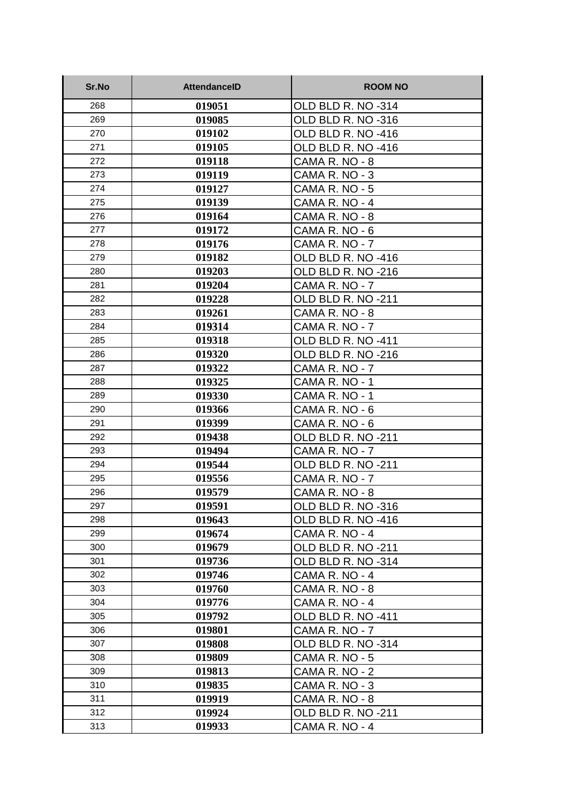| Sr.No | <b>AttendanceID</b> | <b>ROOM NO</b>     |
|-------|---------------------|--------------------|
| 268   | 019051              | OLD BLD R. NO -314 |
| 269   | 019085              | OLD BLD R. NO -316 |
| 270   | 019102              | OLD BLD R. NO -416 |
| 271   | 019105              | OLD BLD R. NO -416 |
| 272   | 019118              | CAMA R. NO - 8     |
| 273   | 019119              | CAMA R. NO - 3     |
| 274   | 019127              | CAMA R. NO - 5     |
| 275   | 019139              | CAMA R. NO - 4     |
| 276   | 019164              | CAMA R. NO - 8     |
| 277   | 019172              | CAMA R. NO - 6     |
| 278   | 019176              | CAMA R. NO - 7     |
| 279   | 019182              | OLD BLD R. NO -416 |
| 280   | 019203              | OLD BLD R. NO -216 |
| 281   | 019204              | CAMA R. NO - 7     |
| 282   | 019228              | OLD BLD R. NO -211 |
| 283   | 019261              | CAMA R. NO - 8     |
| 284   | 019314              | CAMA R. NO - 7     |
| 285   | 019318              | OLD BLD R. NO -411 |
| 286   | 019320              | OLD BLD R. NO -216 |
| 287   | 019322              | CAMA R. NO - 7     |
| 288   | 019325              | CAMA R. NO - 1     |
| 289   | 019330              | CAMA R. NO - 1     |
| 290   | 019366              | CAMA R. NO - 6     |
| 291   | 019399              | CAMA R. NO - 6     |
| 292   | 019438              | OLD BLD R. NO -211 |
| 293   | 019494              | CAMA R. NO - 7     |
| 294   | 019544              | OLD BLD R. NO -211 |
| 295   | 019556              | CAMA R. NO - 7     |
| 296   | 019579              | CAMA R. NO - 8     |
| 297   | 019591              | OLD BLD R. NO -316 |
| 298   | 019643              | OLD BLD R. NO -416 |
| 299   | 019674              | CAMA R. NO - 4     |
| 300   | 019679              | OLD BLD R. NO -211 |
| 301   | 019736              | OLD BLD R. NO -314 |
| 302   | 019746              | CAMA R. NO - 4     |
| 303   | 019760              | CAMA R. NO - 8     |
| 304   | 019776              | CAMA R. NO - 4     |
| 305   | 019792              | OLD BLD R. NO -411 |
| 306   | 019801              | CAMA R. NO - 7     |
| 307   | 019808              | OLD BLD R. NO -314 |
| 308   | 019809              | CAMA R. NO - 5     |
| 309   | 019813              | CAMA R. NO - 2     |
| 310   | 019835              | CAMA R. NO - 3     |
| 311   | 019919              | CAMA R. NO - 8     |
| 312   | 019924              | OLD BLD R. NO -211 |
| 313   | 019933              | CAMA R. NO - 4     |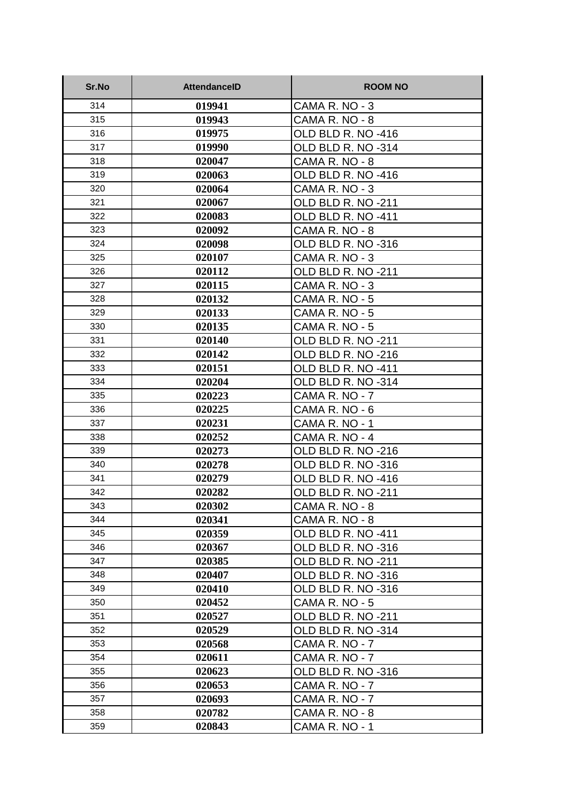| Sr.No | <b>AttendanceID</b> | <b>ROOM NO</b>     |
|-------|---------------------|--------------------|
| 314   | 019941              | CAMA R. NO - 3     |
| 315   | 019943              | CAMA R. NO - 8     |
| 316   | 019975              | OLD BLD R. NO -416 |
| 317   | 019990              | OLD BLD R. NO -314 |
| 318   | 020047              | CAMA R. NO - 8     |
| 319   | 020063              | OLD BLD R. NO -416 |
| 320   | 020064              | CAMA R. NO - 3     |
| 321   | 020067              | OLD BLD R. NO -211 |
| 322   | 020083              | OLD BLD R. NO -411 |
| 323   | 020092              | CAMA R. NO - 8     |
| 324   | 020098              | OLD BLD R. NO -316 |
| 325   | 020107              | CAMA R. NO - 3     |
| 326   | 020112              | OLD BLD R. NO -211 |
| 327   | 020115              | CAMA R. NO - 3     |
| 328   | 020132              | CAMA R. NO - 5     |
| 329   | 020133              | CAMA R. NO - 5     |
| 330   | 020135              | CAMA R. NO - 5     |
| 331   | 020140              | OLD BLD R. NO -211 |
| 332   | 020142              | OLD BLD R. NO -216 |
| 333   | 020151              | OLD BLD R. NO -411 |
| 334   | 020204              | OLD BLD R. NO -314 |
| 335   | 020223              | CAMA R. NO - 7     |
| 336   | 020225              | CAMA R. NO - 6     |
| 337   | 020231              | CAMA R. NO - 1     |
| 338   | 020252              | CAMA R. NO - 4     |
| 339   | 020273              | OLD BLD R. NO -216 |
| 340   | 020278              | OLD BLD R. NO -316 |
| 341   | 020279              | OLD BLD R. NO -416 |
| 342   | 020282              | OLD BLD R. NO -211 |
| 343   | 020302              | CAMA R. NO - 8     |
| 344   | 020341              | CAMA R. NO - 8     |
| 345   | 020359              | OLD BLD R. NO -411 |
| 346   | 020367              | OLD BLD R. NO -316 |
| 347   | 020385              | OLD BLD R. NO -211 |
| 348   | 020407              | OLD BLD R. NO -316 |
| 349   | 020410              | OLD BLD R. NO -316 |
| 350   | 020452              | CAMA R. NO - 5     |
| 351   | 020527              | OLD BLD R. NO -211 |
| 352   | 020529              | OLD BLD R. NO -314 |
| 353   | 020568              | CAMA R. NO - 7     |
| 354   | 020611              | CAMA R. NO - 7     |
| 355   | 020623              | OLD BLD R. NO -316 |
| 356   | 020653              | CAMA R. NO - 7     |
| 357   | 020693              | CAMA R. NO - 7     |
| 358   | 020782              | CAMA R. NO - 8     |
| 359   | 020843              | CAMA R. NO - 1     |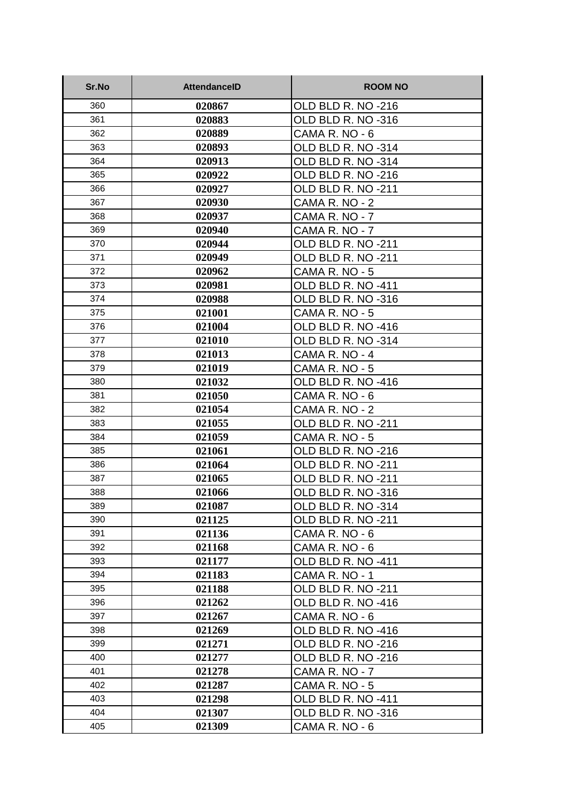| Sr.No | <b>AttendanceID</b> | <b>ROOM NO</b>     |
|-------|---------------------|--------------------|
| 360   | 020867              | OLD BLD R. NO -216 |
| 361   | 020883              | OLD BLD R. NO -316 |
| 362   | 020889              | CAMA R. NO - 6     |
| 363   | 020893              | OLD BLD R. NO -314 |
| 364   | 020913              | OLD BLD R. NO -314 |
| 365   | 020922              | OLD BLD R. NO -216 |
| 366   | 020927              | OLD BLD R. NO -211 |
| 367   | 020930              | CAMA R. NO - 2     |
| 368   | 020937              | CAMA R. NO - 7     |
| 369   | 020940              | CAMA R. NO - 7     |
| 370   | 020944              | OLD BLD R. NO -211 |
| 371   | 020949              | OLD BLD R. NO -211 |
| 372   | 020962              | CAMA R. NO - 5     |
| 373   | 020981              | OLD BLD R. NO -411 |
| 374   | 020988              | OLD BLD R. NO -316 |
| 375   | 021001              | CAMA R. NO - 5     |
| 376   | 021004              | OLD BLD R. NO -416 |
| 377   | 021010              | OLD BLD R. NO -314 |
| 378   | 021013              | CAMA R. NO - 4     |
| 379   | 021019              | CAMA R. NO - 5     |
| 380   | 021032              | OLD BLD R. NO -416 |
| 381   | 021050              | CAMA R. NO - 6     |
| 382   | 021054              | CAMA R. NO - 2     |
| 383   | 021055              | OLD BLD R. NO -211 |
| 384   | 021059              | CAMA R. NO - 5     |
| 385   | 021061              | OLD BLD R. NO -216 |
| 386   | 021064              | OLD BLD R. NO -211 |
| 387   | 021065              | OLD BLD R. NO -211 |
| 388   | 021066              | OLD BLD R. NO -316 |
| 389   | 021087              | OLD BLD R. NO -314 |
| 390   | 021125              | OLD BLD R. NO -211 |
| 391   | 021136              | CAMA R. NO - 6     |
| 392   | 021168              | CAMA R. NO - 6     |
| 393   | 021177              | OLD BLD R. NO -411 |
| 394   | 021183              | CAMA R. NO - 1     |
| 395   | 021188              | OLD BLD R. NO -211 |
| 396   | 021262              | OLD BLD R. NO -416 |
| 397   | 021267              | CAMA R. NO - 6     |
| 398   | 021269              | OLD BLD R. NO -416 |
| 399   | 021271              | OLD BLD R. NO -216 |
| 400   | 021277              | OLD BLD R. NO -216 |
| 401   | 021278              | CAMA R. NO - 7     |
| 402   | 021287              | CAMA R. NO - 5     |
| 403   | 021298              | OLD BLD R. NO -411 |
| 404   | 021307              | OLD BLD R. NO -316 |
| 405   | 021309              | CAMA R. NO - 6     |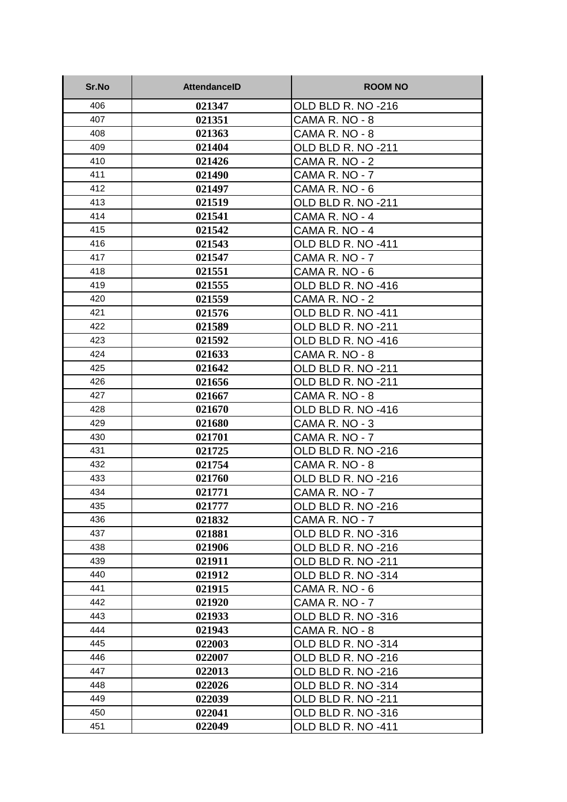| Sr.No | <b>AttendanceID</b> | <b>ROOM NO</b>     |
|-------|---------------------|--------------------|
| 406   | 021347              | OLD BLD R. NO -216 |
| 407   | 021351              | CAMA R. NO - 8     |
| 408   | 021363              | CAMA R. NO - 8     |
| 409   | 021404              | OLD BLD R. NO -211 |
| 410   | 021426              | CAMA R. NO - 2     |
| 411   | 021490              | CAMA R. NO - 7     |
| 412   | 021497              | CAMA R. NO - 6     |
| 413   | 021519              | OLD BLD R. NO -211 |
| 414   | 021541              | CAMA R. NO - 4     |
| 415   | 021542              | CAMA R. NO - 4     |
| 416   | 021543              | OLD BLD R. NO -411 |
| 417   | 021547              | CAMA R. NO - 7     |
| 418   | 021551              | CAMA R. NO - 6     |
| 419   | 021555              | OLD BLD R. NO -416 |
| 420   | 021559              | CAMA R. NO - 2     |
| 421   | 021576              | OLD BLD R. NO -411 |
| 422   | 021589              | OLD BLD R. NO -211 |
| 423   | 021592              | OLD BLD R. NO -416 |
| 424   | 021633              | CAMA R. NO - 8     |
| 425   | 021642              | OLD BLD R. NO -211 |
| 426   | 021656              | OLD BLD R. NO -211 |
| 427   | 021667              | CAMA R. NO - 8     |
| 428   | 021670              | OLD BLD R. NO -416 |
| 429   | 021680              | CAMA R. NO - 3     |
| 430   | 021701              | CAMA R. NO - 7     |
| 431   | 021725              | OLD BLD R. NO -216 |
| 432   | 021754              | CAMA R. NO - 8     |
| 433   | 021760              | OLD BLD R. NO -216 |
| 434   | 021771              | CAMA R. NO - 7     |
| 435   | 021777              | OLD BLD R. NO -216 |
| 436   | 021832              | CAMA R. NO - 7     |
| 437   | 021881              | OLD BLD R. NO -316 |
| 438   | 021906              | OLD BLD R. NO -216 |
| 439   | 021911              | OLD BLD R. NO -211 |
| 440   | 021912              | OLD BLD R. NO -314 |
| 441   | 021915              | CAMA R. NO - 6     |
| 442   | 021920              | CAMA R. NO - 7     |
| 443   | 021933              | OLD BLD R. NO -316 |
| 444   | 021943              | CAMA R. NO - 8     |
| 445   | 022003              | OLD BLD R. NO -314 |
| 446   | 022007              | OLD BLD R. NO -216 |
| 447   | 022013              | OLD BLD R. NO -216 |
| 448   | 022026              | OLD BLD R. NO -314 |
| 449   | 022039              | OLD BLD R. NO -211 |
| 450   | 022041              | OLD BLD R. NO -316 |
| 451   | 022049              | OLD BLD R. NO -411 |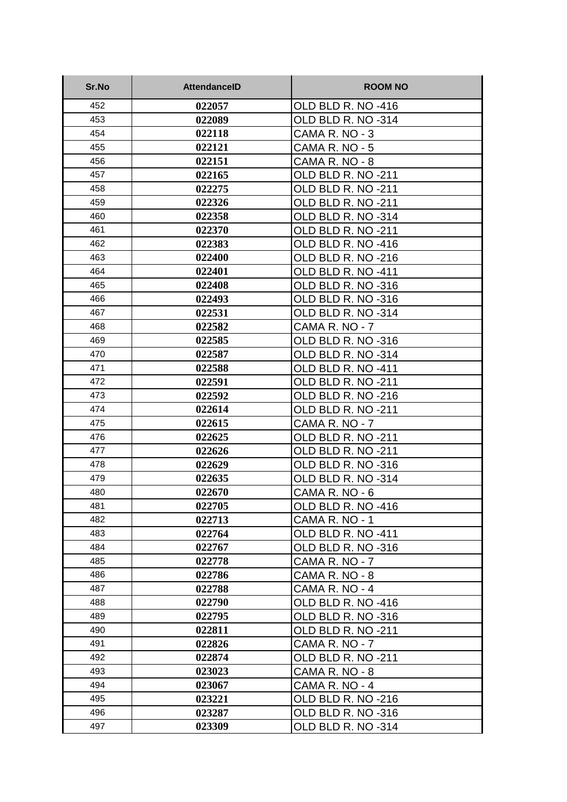| Sr.No | <b>AttendanceID</b> | <b>ROOM NO</b>     |
|-------|---------------------|--------------------|
| 452   | 022057              | OLD BLD R. NO -416 |
| 453   | 022089              | OLD BLD R. NO -314 |
| 454   | 022118              | CAMA R. NO - 3     |
| 455   | 022121              | CAMA R. NO - 5     |
| 456   | 022151              | CAMA R. NO - 8     |
| 457   | 022165              | OLD BLD R. NO -211 |
| 458   | 022275              | OLD BLD R. NO -211 |
| 459   | 022326              | OLD BLD R. NO -211 |
| 460   | 022358              | OLD BLD R. NO -314 |
| 461   | 022370              | OLD BLD R. NO -211 |
| 462   | 022383              | OLD BLD R. NO -416 |
| 463   | 022400              | OLD BLD R. NO -216 |
| 464   | 022401              | OLD BLD R. NO -411 |
| 465   | 022408              | OLD BLD R. NO -316 |
| 466   | 022493              | OLD BLD R. NO -316 |
| 467   | 022531              | OLD BLD R. NO -314 |
| 468   | 022582              | CAMA R. NO - 7     |
| 469   | 022585              | OLD BLD R. NO -316 |
| 470   | 022587              | OLD BLD R. NO -314 |
| 471   | 022588              | OLD BLD R. NO -411 |
| 472   | 022591              | OLD BLD R. NO -211 |
| 473   | 022592              | OLD BLD R. NO -216 |
| 474   | 022614              | OLD BLD R. NO -211 |
| 475   | 022615              | CAMA R. NO - 7     |
| 476   | 022625              | OLD BLD R. NO -211 |
| 477   | 022626              | OLD BLD R. NO -211 |
| 478   | 022629              | OLD BLD R. NO -316 |
| 479   | 022635              | OLD BLD R. NO -314 |
| 480   | 022670              | CAMA R. NO - 6     |
| 481   | 022705              | OLD BLD R. NO -416 |
| 482   | 022713              | CAMA R. NO - 1     |
| 483   | 022764              | OLD BLD R. NO -411 |
| 484   | 022767              | OLD BLD R. NO -316 |
| 485   | 022778              | CAMA R. NO - 7     |
| 486   | 022786              | CAMA R. NO - 8     |
| 487   | 022788              | CAMA R. NO - 4     |
| 488   | 022790              | OLD BLD R. NO -416 |
| 489   | 022795              | OLD BLD R. NO -316 |
| 490   | 022811              | OLD BLD R. NO -211 |
| 491   | 022826              | CAMA R. NO - 7     |
| 492   | 022874              | OLD BLD R. NO -211 |
| 493   | 023023              | CAMA R. NO - 8     |
| 494   | 023067              | CAMA R. NO - 4     |
| 495   | 023221              | OLD BLD R. NO -216 |
| 496   | 023287              | OLD BLD R. NO -316 |
| 497   | 023309              | OLD BLD R. NO -314 |